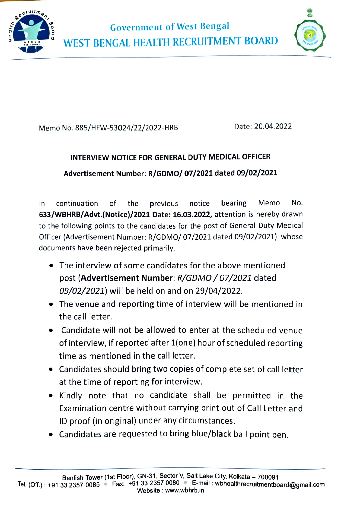



Memo No. 885/HFW-53024/22/2022-HRB Date: 20.04.2022

## INTERVIEW NOTICE FOR GENERAL DUTY MEDICAL OFFICER Advertisement Number: R/GDMO/ 07/2021 dated 09/02/2021

continuation of the previous notice bearing Memo No. 633/WBHRB/Advt.(Notice)/2021 Date: 16.03.2022, attention is hereby drawn to the following points to the candidates for the post of General Duty Medical Officer (Advertisement Number: R/GDMO/ 07/2021 dated 09/02/2021) whose In documents have been rejected primarily.

- .The interview of some candidates for the above mentioned post (Advertisement Number: R/GDMO/07/2021 dated 09/02/2021) will be held on and on 29/04/2022.
- The venue and reporting time of interview will be mentioned in the call letter.
- Candidate will not be allowed to enter at the scheduled venue of interview, if reported after 1{one) hour of scheduled reporting time as mentioned in the call letter.
- Candidates should bring two copies of complete set of call letter at the time of reporting for interview.
- Kindly note that no candidate shall be permitted in the Examination centre without carrying print out of Call Letter and ID proof (in original) under any circumstances.
- Candidates are requested to bring blue/black ball point pen.